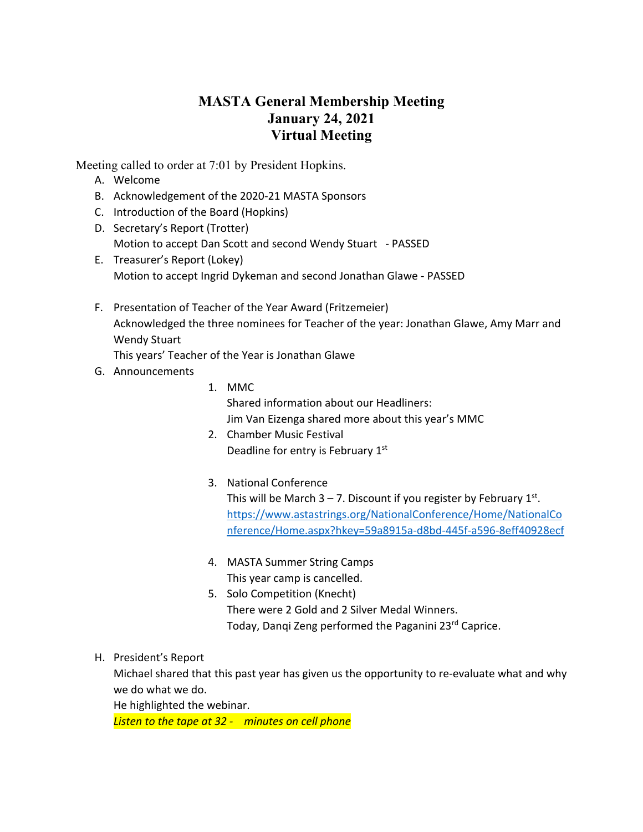## **MASTA General Membership Meeting January 24, 2021 Virtual Meeting**

Meeting called to order at 7:01 by President Hopkins.

- A. Welcome
- B. Acknowledgement of the 2020-21 MASTA Sponsors
- C. Introduction of the Board (Hopkins)
- D. Secretary's Report (Trotter) Motion to accept Dan Scott and second Wendy Stuart - PASSED
- E. Treasurer's Report (Lokey) Motion to accept Ingrid Dykeman and second Jonathan Glawe - PASSED
- F. Presentation of Teacher of the Year Award (Fritzemeier) Acknowledged the three nominees for Teacher of the year: Jonathan Glawe, Amy Marr and Wendy Stuart

This years' Teacher of the Year is Jonathan Glawe

- G. Announcements
- 1. MMC Shared information about our Headliners: Jim Van Eizenga shared more about this year's MMC
- 2. Chamber Music Festival Deadline for entry is February 1st
- 3. National Conference

This will be March  $3 - 7$ . Discount if you register by February  $1<sup>st</sup>$ . https://www.astastrings.org/NationalConference/Home/NationalCo nference/Home.aspx?hkey=59a8915a-d8bd-445f-a596-8eff40928ecf

- 4. MASTA Summer String Camps This year camp is cancelled.
- 5. Solo Competition (Knecht) There were 2 Gold and 2 Silver Medal Winners. Today, Dangi Zeng performed the Paganini 23<sup>rd</sup> Caprice.
- H. President's Report

Michael shared that this past year has given us the opportunity to re-evaluate what and why we do what we do.

He highlighted the webinar.

*Listen to the tape at 32 - minutes on cell phone*